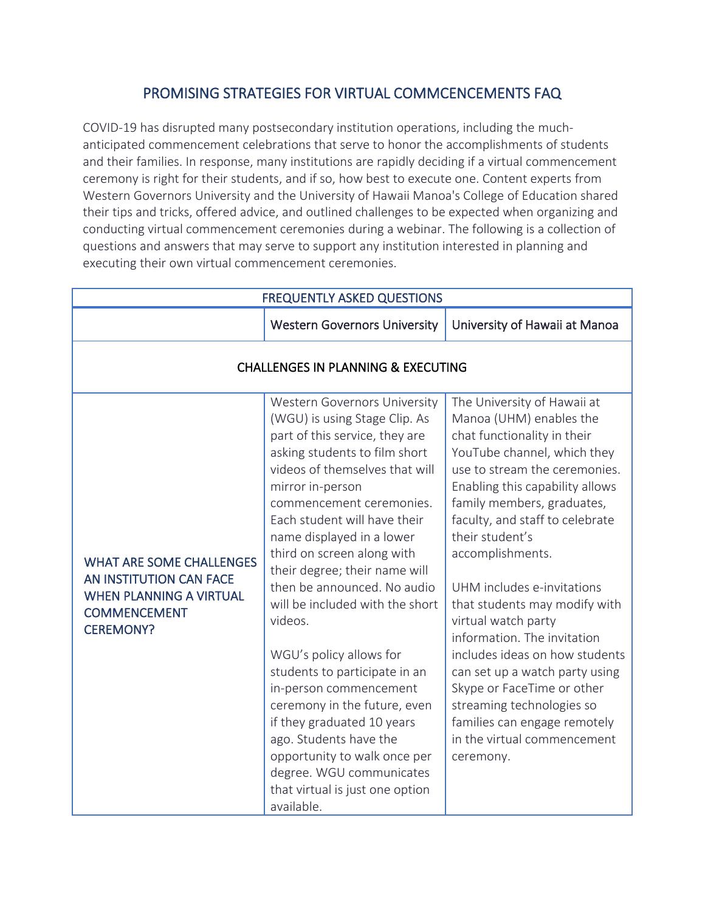## PROMISING STRATEGIES FOR VIRTUAL COMMCENCEMENTS FAQ

COVID-19 has disrupted many postsecondary institution operations, including the muchanticipated commencement celebrations that serve to honor the accomplishments of students and their families. In response, many institutions are rapidly deciding if a virtual commencement ceremony is right for their students, and if so, how best to execute one. Content experts from Western Governors University and the University of Hawaii Manoa's College of Education shared their tips and tricks, offered advice, and outlined challenges to be expected when organizing and conducting virtual commencement ceremonies during a webinar. The following is a collection of questions and answers that may serve to support any institution interested in planning and executing their own virtual commencement ceremonies.

| <b>FREQUENTLY ASKED QUESTIONS</b>                                                                                                       |                                                                                                                                                                                                                                                                                                                                                                                                                                                                                                                                                                                                                                                                                                                        |                                                                                                                                                                                                                                                                                                                                                                                                                                                                                                                                                                                                                                  |  |
|-----------------------------------------------------------------------------------------------------------------------------------------|------------------------------------------------------------------------------------------------------------------------------------------------------------------------------------------------------------------------------------------------------------------------------------------------------------------------------------------------------------------------------------------------------------------------------------------------------------------------------------------------------------------------------------------------------------------------------------------------------------------------------------------------------------------------------------------------------------------------|----------------------------------------------------------------------------------------------------------------------------------------------------------------------------------------------------------------------------------------------------------------------------------------------------------------------------------------------------------------------------------------------------------------------------------------------------------------------------------------------------------------------------------------------------------------------------------------------------------------------------------|--|
|                                                                                                                                         | <b>Western Governors University</b>                                                                                                                                                                                                                                                                                                                                                                                                                                                                                                                                                                                                                                                                                    | University of Hawaii at Manoa                                                                                                                                                                                                                                                                                                                                                                                                                                                                                                                                                                                                    |  |
| <b>CHALLENGES IN PLANNING &amp; EXECUTING</b>                                                                                           |                                                                                                                                                                                                                                                                                                                                                                                                                                                                                                                                                                                                                                                                                                                        |                                                                                                                                                                                                                                                                                                                                                                                                                                                                                                                                                                                                                                  |  |
| <b>WHAT ARE SOME CHALLENGES</b><br>AN INSTITUTION CAN FACE<br><b>WHEN PLANNING A VIRTUAL</b><br><b>COMMENCEMENT</b><br><b>CEREMONY?</b> | Western Governors University<br>(WGU) is using Stage Clip. As<br>part of this service, they are<br>asking students to film short<br>videos of themselves that will<br>mirror in-person<br>commencement ceremonies.<br>Each student will have their<br>name displayed in a lower<br>third on screen along with<br>their degree; their name will<br>then be announced. No audio<br>will be included with the short<br>videos.<br>WGU's policy allows for<br>students to participate in an<br>in-person commencement<br>ceremony in the future, even<br>if they graduated 10 years<br>ago. Students have the<br>opportunity to walk once per<br>degree. WGU communicates<br>that virtual is just one option<br>available. | The University of Hawaii at<br>Manoa (UHM) enables the<br>chat functionality in their<br>YouTube channel, which they<br>use to stream the ceremonies.<br>Enabling this capability allows<br>family members, graduates,<br>faculty, and staff to celebrate<br>their student's<br>accomplishments.<br>UHM includes e-invitations<br>that students may modify with<br>virtual watch party<br>information. The invitation<br>includes ideas on how students<br>can set up a watch party using<br>Skype or FaceTime or other<br>streaming technologies so<br>families can engage remotely<br>in the virtual commencement<br>ceremony. |  |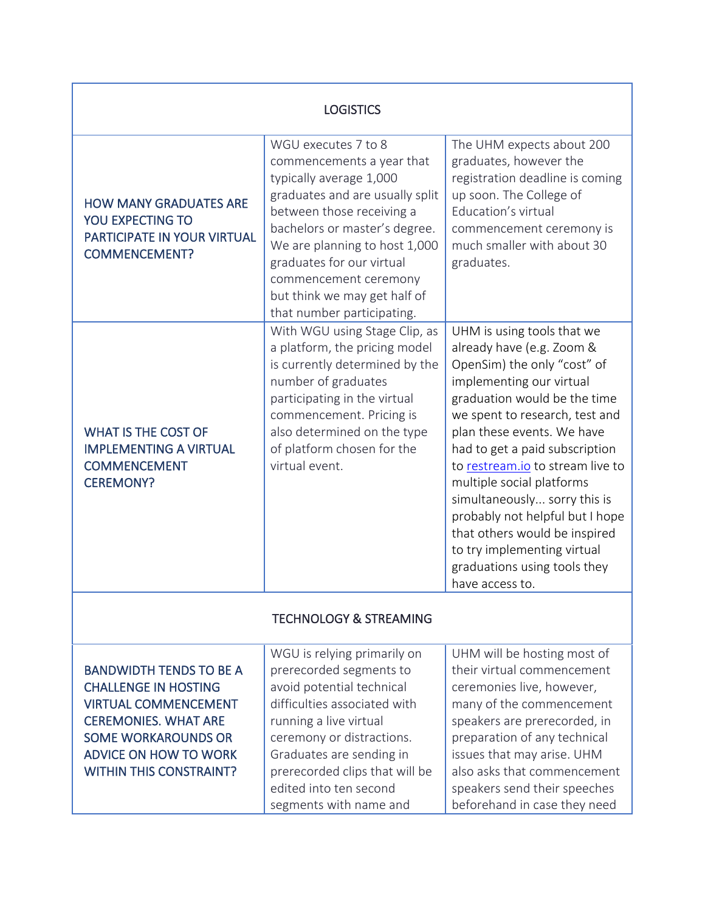| <b>LOGISTICS</b>                                                                                                                                                                                                     |                                                                                                                                                                                                                                                                                                                                   |                                                                                                                                                                                                                                                                                                                                                                                                                                                                                                             |  |
|----------------------------------------------------------------------------------------------------------------------------------------------------------------------------------------------------------------------|-----------------------------------------------------------------------------------------------------------------------------------------------------------------------------------------------------------------------------------------------------------------------------------------------------------------------------------|-------------------------------------------------------------------------------------------------------------------------------------------------------------------------------------------------------------------------------------------------------------------------------------------------------------------------------------------------------------------------------------------------------------------------------------------------------------------------------------------------------------|--|
| <b>HOW MANY GRADUATES ARE</b><br>YOU EXPECTING TO<br><b>PARTICIPATE IN YOUR VIRTUAL</b><br><b>COMMENCEMENT?</b>                                                                                                      | WGU executes 7 to 8<br>commencements a year that<br>typically average 1,000<br>graduates and are usually split<br>between those receiving a<br>bachelors or master's degree.<br>We are planning to host 1,000<br>graduates for our virtual<br>commencement ceremony<br>but think we may get half of<br>that number participating. | The UHM expects about 200<br>graduates, however the<br>registration deadline is coming<br>up soon. The College of<br>Education's virtual<br>commencement ceremony is<br>much smaller with about 30<br>graduates.                                                                                                                                                                                                                                                                                            |  |
| <b>WHAT IS THE COST OF</b><br><b>IMPLEMENTING A VIRTUAL</b><br><b>COMMENCEMENT</b><br><b>CEREMONY?</b>                                                                                                               | With WGU using Stage Clip, as<br>a platform, the pricing model<br>is currently determined by the<br>number of graduates<br>participating in the virtual<br>commencement. Pricing is<br>also determined on the type<br>of platform chosen for the<br>virtual event.                                                                | UHM is using tools that we<br>already have (e.g. Zoom &<br>OpenSim) the only "cost" of<br>implementing our virtual<br>graduation would be the time<br>we spent to research, test and<br>plan these events. We have<br>had to get a paid subscription<br>to restream.io to stream live to<br>multiple social platforms<br>simultaneously sorry this is<br>probably not helpful but I hope<br>that others would be inspired<br>to try implementing virtual<br>graduations using tools they<br>have access to. |  |
| <b>TECHNOLOGY &amp; STREAMING</b>                                                                                                                                                                                    |                                                                                                                                                                                                                                                                                                                                   |                                                                                                                                                                                                                                                                                                                                                                                                                                                                                                             |  |
| <b>BANDWIDTH TENDS TO BE A</b><br><b>CHALLENGE IN HOSTING</b><br><b>VIRTUAL COMMENCEMENT</b><br><b>CEREMONIES. WHAT ARE</b><br><b>SOME WORKAROUNDS OR</b><br>ADVICE ON HOW TO WORK<br><b>WITHIN THIS CONSTRAINT?</b> | WGU is relying primarily on<br>prerecorded segments to<br>avoid potential technical<br>difficulties associated with<br>running a live virtual<br>ceremony or distractions.<br>Graduates are sending in<br>prerecorded clips that will be<br>edited into ten second<br>segments with name and                                      | UHM will be hosting most of<br>their virtual commencement<br>ceremonies live, however,<br>many of the commencement<br>speakers are prerecorded, in<br>preparation of any technical<br>issues that may arise. UHM<br>also asks that commencement<br>speakers send their speeches<br>beforehand in case they need                                                                                                                                                                                             |  |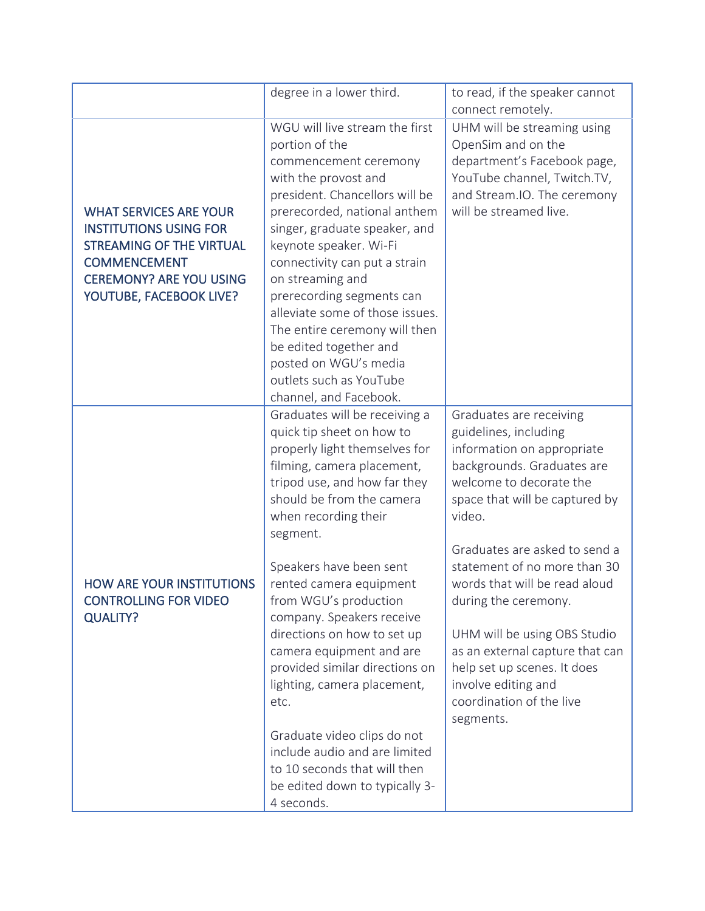|                                                                                                                                                                                       | degree in a lower third.                                                                                                                                                                                                                                                                                                                                                                                                                                                                                                                                                                                                   | to read, if the speaker cannot<br>connect remotely.                                                                                                                                                                                                                                                                                                                                                                                                                             |
|---------------------------------------------------------------------------------------------------------------------------------------------------------------------------------------|----------------------------------------------------------------------------------------------------------------------------------------------------------------------------------------------------------------------------------------------------------------------------------------------------------------------------------------------------------------------------------------------------------------------------------------------------------------------------------------------------------------------------------------------------------------------------------------------------------------------------|---------------------------------------------------------------------------------------------------------------------------------------------------------------------------------------------------------------------------------------------------------------------------------------------------------------------------------------------------------------------------------------------------------------------------------------------------------------------------------|
| <b>WHAT SERVICES ARE YOUR</b><br><b>INSTITUTIONS USING FOR</b><br><b>STREAMING OF THE VIRTUAL</b><br><b>COMMENCEMENT</b><br><b>CEREMONY? ARE YOU USING</b><br>YOUTUBE, FACEBOOK LIVE? | WGU will live stream the first<br>portion of the<br>commencement ceremony<br>with the provost and<br>president. Chancellors will be<br>prerecorded, national anthem<br>singer, graduate speaker, and<br>keynote speaker. Wi-Fi<br>connectivity can put a strain<br>on streaming and<br>prerecording segments can<br>alleviate some of those issues.<br>The entire ceremony will then<br>be edited together and<br>posted on WGU's media<br>outlets such as YouTube<br>channel, and Facebook.                                                                                                                               | UHM will be streaming using<br>OpenSim and on the<br>department's Facebook page,<br>YouTube channel, Twitch.TV,<br>and Stream.IO. The ceremony<br>will be streamed live.                                                                                                                                                                                                                                                                                                        |
| <b>HOW ARE YOUR INSTITUTIONS</b><br><b>CONTROLLING FOR VIDEO</b><br><b>QUALITY?</b>                                                                                                   | Graduates will be receiving a<br>quick tip sheet on how to<br>properly light themselves for<br>filming, camera placement,<br>tripod use, and how far they<br>should be from the camera<br>when recording their<br>segment.<br>Speakers have been sent<br>rented camera equipment<br>from WGU's production<br>company. Speakers receive<br>directions on how to set up<br>camera equipment and are<br>provided similar directions on<br>lighting, camera placement,<br>etc.<br>Graduate video clips do not<br>include audio and are limited<br>to 10 seconds that will then<br>be edited down to typically 3-<br>4 seconds. | Graduates are receiving<br>guidelines, including<br>information on appropriate<br>backgrounds. Graduates are<br>welcome to decorate the<br>space that will be captured by<br>video.<br>Graduates are asked to send a<br>statement of no more than 30<br>words that will be read aloud<br>during the ceremony.<br>UHM will be using OBS Studio<br>as an external capture that can<br>help set up scenes. It does<br>involve editing and<br>coordination of the live<br>segments. |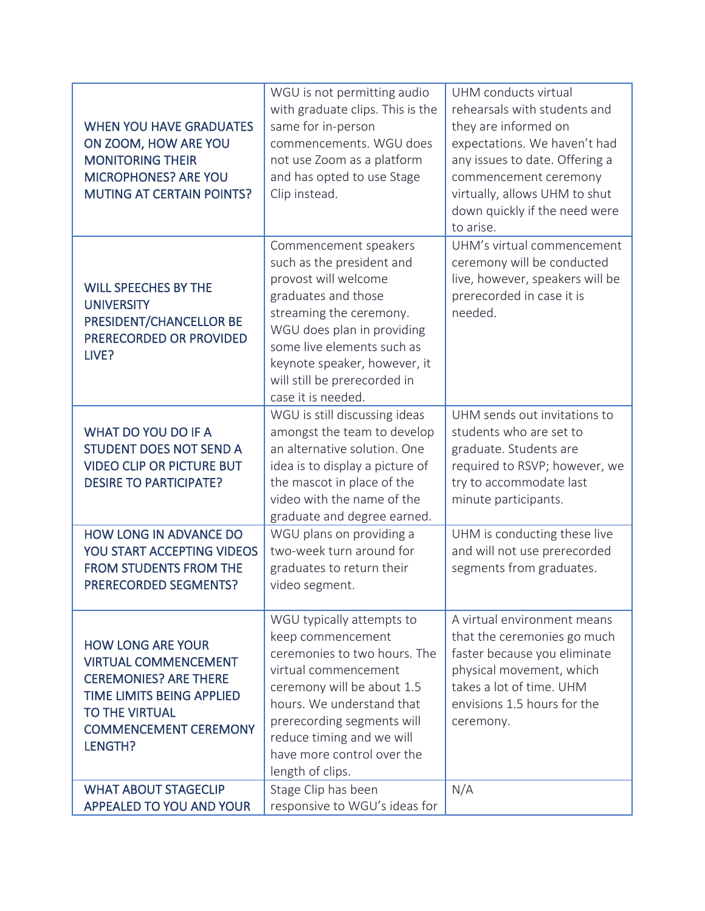| <b>WHEN YOU HAVE GRADUATES</b><br>ON ZOOM, HOW ARE YOU<br><b>MONITORING THEIR</b><br><b>MICROPHONES? ARE YOU</b><br><b>MUTING AT CERTAIN POINTS?</b>                                     | WGU is not permitting audio<br>with graduate clips. This is the<br>same for in-person<br>commencements. WGU does<br>not use Zoom as a platform<br>and has opted to use Stage<br>Clip instead.                                                                                  | UHM conducts virtual<br>rehearsals with students and<br>they are informed on<br>expectations. We haven't had<br>any issues to date. Offering a<br>commencement ceremony<br>virtually, allows UHM to shut<br>down quickly if the need were<br>to arise. |
|------------------------------------------------------------------------------------------------------------------------------------------------------------------------------------------|--------------------------------------------------------------------------------------------------------------------------------------------------------------------------------------------------------------------------------------------------------------------------------|--------------------------------------------------------------------------------------------------------------------------------------------------------------------------------------------------------------------------------------------------------|
| <b>WILL SPEECHES BY THE</b><br><b>UNIVERSITY</b><br>PRESIDENT/CHANCELLOR BE<br>PRERECORDED OR PROVIDED<br>LIVE?                                                                          | Commencement speakers<br>such as the president and<br>provost will welcome<br>graduates and those<br>streaming the ceremony.<br>WGU does plan in providing<br>some live elements such as<br>keynote speaker, however, it<br>will still be prerecorded in<br>case it is needed. | UHM's virtual commencement<br>ceremony will be conducted<br>live, however, speakers will be<br>prerecorded in case it is<br>needed.                                                                                                                    |
| WHAT DO YOU DO IF A<br><b>STUDENT DOES NOT SEND A</b><br><b>VIDEO CLIP OR PICTURE BUT</b><br><b>DESIRE TO PARTICIPATE?</b>                                                               | WGU is still discussing ideas<br>amongst the team to develop<br>an alternative solution. One<br>idea is to display a picture of<br>the mascot in place of the<br>video with the name of the<br>graduate and degree earned.                                                     | UHM sends out invitations to<br>students who are set to<br>graduate. Students are<br>required to RSVP; however, we<br>try to accommodate last<br>minute participants.                                                                                  |
| HOW LONG IN ADVANCE DO<br>YOU START ACCEPTING VIDEOS<br><b>FROM STUDENTS FROM THE</b><br><b>PRERECORDED SEGMENTS?</b>                                                                    | WGU plans on providing a<br>two-week turn around for<br>graduates to return their<br>video segment.                                                                                                                                                                            | UHM is conducting these live<br>and will not use prerecorded<br>segments from graduates.                                                                                                                                                               |
| <b>HOW LONG ARE YOUR</b><br><b>VIRTUAL COMMENCEMENT</b><br><b>CEREMONIES? ARE THERE</b><br>TIME LIMITS BEING APPLIED<br><b>TO THE VIRTUAL</b><br><b>COMMENCEMENT CEREMONY</b><br>LENGTH? | WGU typically attempts to<br>keep commencement<br>ceremonies to two hours. The<br>virtual commencement<br>ceremony will be about 1.5<br>hours. We understand that<br>prerecording segments will<br>reduce timing and we will<br>have more control over the<br>length of clips. | A virtual environment means<br>that the ceremonies go much<br>faster because you eliminate<br>physical movement, which<br>takes a lot of time. UHM<br>envisions 1.5 hours for the<br>ceremony.                                                         |
| <b>WHAT ABOUT STAGECLIP</b><br><b>APPEALED TO YOU AND YOUR</b>                                                                                                                           | Stage Clip has been<br>responsive to WGU's ideas for                                                                                                                                                                                                                           | N/A                                                                                                                                                                                                                                                    |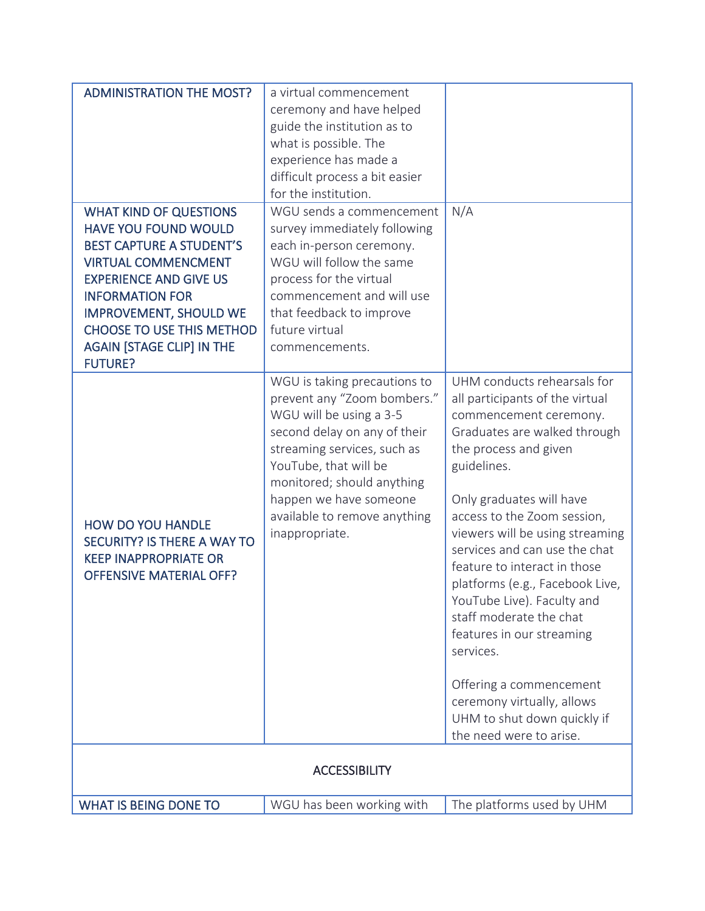| <b>ADMINISTRATION THE MOST?</b>                                                                                                  | a virtual commencement                                                                                                                                                                                                                                                                   |                                                                                                                                                                                                                                                                                                                                                                                                                                                                       |
|----------------------------------------------------------------------------------------------------------------------------------|------------------------------------------------------------------------------------------------------------------------------------------------------------------------------------------------------------------------------------------------------------------------------------------|-----------------------------------------------------------------------------------------------------------------------------------------------------------------------------------------------------------------------------------------------------------------------------------------------------------------------------------------------------------------------------------------------------------------------------------------------------------------------|
|                                                                                                                                  | ceremony and have helped                                                                                                                                                                                                                                                                 |                                                                                                                                                                                                                                                                                                                                                                                                                                                                       |
|                                                                                                                                  | guide the institution as to                                                                                                                                                                                                                                                              |                                                                                                                                                                                                                                                                                                                                                                                                                                                                       |
|                                                                                                                                  | what is possible. The                                                                                                                                                                                                                                                                    |                                                                                                                                                                                                                                                                                                                                                                                                                                                                       |
|                                                                                                                                  | experience has made a                                                                                                                                                                                                                                                                    |                                                                                                                                                                                                                                                                                                                                                                                                                                                                       |
|                                                                                                                                  | difficult process a bit easier                                                                                                                                                                                                                                                           |                                                                                                                                                                                                                                                                                                                                                                                                                                                                       |
|                                                                                                                                  | for the institution.                                                                                                                                                                                                                                                                     |                                                                                                                                                                                                                                                                                                                                                                                                                                                                       |
| <b>WHAT KIND OF QUESTIONS</b>                                                                                                    | WGU sends a commencement                                                                                                                                                                                                                                                                 | N/A                                                                                                                                                                                                                                                                                                                                                                                                                                                                   |
| <b>HAVE YOU FOUND WOULD</b>                                                                                                      | survey immediately following                                                                                                                                                                                                                                                             |                                                                                                                                                                                                                                                                                                                                                                                                                                                                       |
| <b>BEST CAPTURE A STUDENT'S</b>                                                                                                  | each in-person ceremony.                                                                                                                                                                                                                                                                 |                                                                                                                                                                                                                                                                                                                                                                                                                                                                       |
| <b>VIRTUAL COMMENCMENT</b>                                                                                                       | WGU will follow the same                                                                                                                                                                                                                                                                 |                                                                                                                                                                                                                                                                                                                                                                                                                                                                       |
| <b>EXPERIENCE AND GIVE US</b>                                                                                                    | process for the virtual                                                                                                                                                                                                                                                                  |                                                                                                                                                                                                                                                                                                                                                                                                                                                                       |
| <b>INFORMATION FOR</b>                                                                                                           | commencement and will use                                                                                                                                                                                                                                                                |                                                                                                                                                                                                                                                                                                                                                                                                                                                                       |
| <b>IMPROVEMENT, SHOULD WE</b>                                                                                                    | that feedback to improve                                                                                                                                                                                                                                                                 |                                                                                                                                                                                                                                                                                                                                                                                                                                                                       |
| <b>CHOOSE TO USE THIS METHOD</b>                                                                                                 | future virtual                                                                                                                                                                                                                                                                           |                                                                                                                                                                                                                                                                                                                                                                                                                                                                       |
| <b>AGAIN [STAGE CLIP] IN THE</b>                                                                                                 | commencements.                                                                                                                                                                                                                                                                           |                                                                                                                                                                                                                                                                                                                                                                                                                                                                       |
| <b>FUTURE?</b>                                                                                                                   |                                                                                                                                                                                                                                                                                          |                                                                                                                                                                                                                                                                                                                                                                                                                                                                       |
| <b>HOW DO YOU HANDLE</b><br><b>SECURITY? IS THERE A WAY TO</b><br><b>KEEP INAPPROPRIATE OR</b><br><b>OFFENSIVE MATERIAL OFF?</b> | WGU is taking precautions to<br>prevent any "Zoom bombers."<br>WGU will be using a 3-5<br>second delay on any of their<br>streaming services, such as<br>YouTube, that will be<br>monitored; should anything<br>happen we have someone<br>available to remove anything<br>inappropriate. | UHM conducts rehearsals for<br>all participants of the virtual<br>commencement ceremony.<br>Graduates are walked through<br>the process and given<br>guidelines.<br>Only graduates will have<br>access to the Zoom session,<br>viewers will be using streaming<br>services and can use the chat<br>feature to interact in those<br>platforms (e.g., Facebook Live,<br>YouTube Live). Faculty and<br>staff moderate the chat<br>features in our streaming<br>services. |
|                                                                                                                                  |                                                                                                                                                                                                                                                                                          | Offering a commencement<br>ceremony virtually, allows<br>UHM to shut down quickly if<br>the need were to arise.                                                                                                                                                                                                                                                                                                                                                       |
| <b>ACCESSIBILITY</b>                                                                                                             |                                                                                                                                                                                                                                                                                          |                                                                                                                                                                                                                                                                                                                                                                                                                                                                       |
| <b>WHAT IS BEING DONE TO</b>                                                                                                     | WGU has been working with                                                                                                                                                                                                                                                                | The platforms used by UHM                                                                                                                                                                                                                                                                                                                                                                                                                                             |
|                                                                                                                                  |                                                                                                                                                                                                                                                                                          |                                                                                                                                                                                                                                                                                                                                                                                                                                                                       |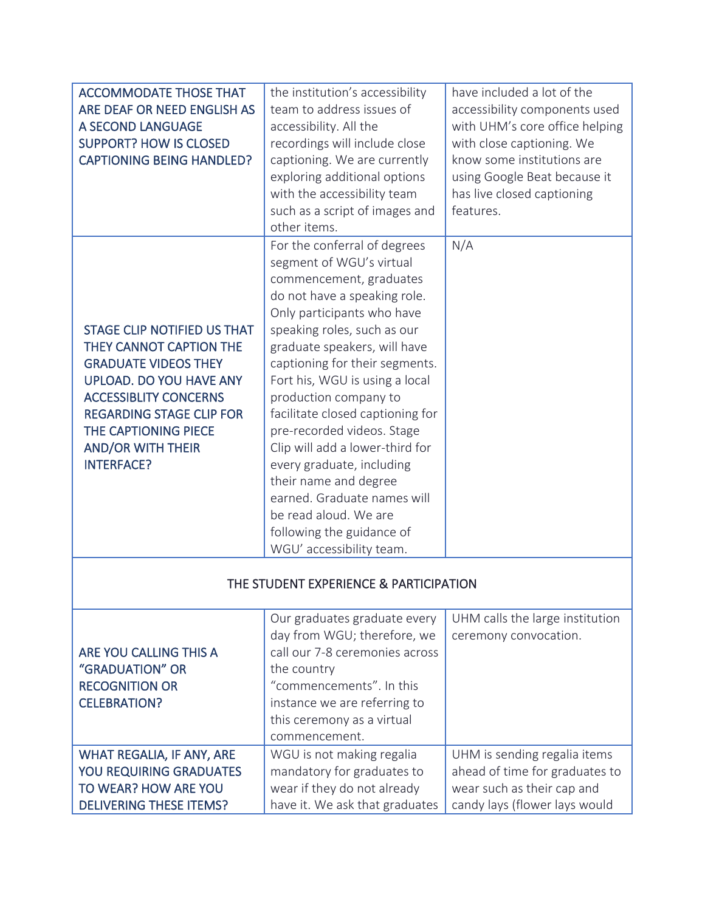| <b>ACCOMMODATE THOSE THAT</b>      | the institution's accessibility        | have included a lot of the      |
|------------------------------------|----------------------------------------|---------------------------------|
| ARE DEAF OR NEED ENGLISH AS        | team to address issues of              | accessibility components used   |
| A SECOND LANGUAGE                  | accessibility. All the                 | with UHM's core office helping  |
| <b>SUPPORT? HOW IS CLOSED</b>      | recordings will include close          | with close captioning. We       |
| <b>CAPTIONING BEING HANDLED?</b>   | captioning. We are currently           | know some institutions are      |
|                                    | exploring additional options           | using Google Beat because it    |
|                                    | with the accessibility team            | has live closed captioning      |
|                                    | such as a script of images and         | features.                       |
|                                    | other items.                           |                                 |
|                                    | For the conferral of degrees           | N/A                             |
|                                    | segment of WGU's virtual               |                                 |
|                                    | commencement, graduates                |                                 |
|                                    | do not have a speaking role.           |                                 |
|                                    | Only participants who have             |                                 |
| <b>STAGE CLIP NOTIFIED US THAT</b> | speaking roles, such as our            |                                 |
| THEY CANNOT CAPTION THE            | graduate speakers, will have           |                                 |
| <b>GRADUATE VIDEOS THEY</b>        | captioning for their segments.         |                                 |
| UPLOAD. DO YOU HAVE ANY            | Fort his, WGU is using a local         |                                 |
| <b>ACCESSIBLITY CONCERNS</b>       | production company to                  |                                 |
| <b>REGARDING STAGE CLIP FOR</b>    | facilitate closed captioning for       |                                 |
| THE CAPTIONING PIECE               | pre-recorded videos. Stage             |                                 |
| <b>AND/OR WITH THEIR</b>           | Clip will add a lower-third for        |                                 |
| <b>INTERFACE?</b>                  | every graduate, including              |                                 |
|                                    | their name and degree                  |                                 |
|                                    | earned. Graduate names will            |                                 |
|                                    | be read aloud. We are                  |                                 |
|                                    | following the guidance of              |                                 |
|                                    | WGU' accessibility team.               |                                 |
|                                    | THE STUDENT EXPERIENCE & PARTICIPATION |                                 |
|                                    |                                        |                                 |
|                                    | Our graduates graduate every           | UHM calls the large institution |
|                                    | day from WGU; therefore, we            | ceremony convocation.           |
| ARE YOU CALLING THIS A             | call our 7-8 ceremonies across         |                                 |
| "GRADUATION" OR                    | the country                            |                                 |
| <b>RECOGNITION OR</b>              | "commencements". In this               |                                 |
| <b>CELEBRATION?</b>                | instance we are referring to           |                                 |
|                                    | this ceremony as a virtual             |                                 |
|                                    | commencement.                          |                                 |
| WHAT REGALIA, IF ANY, ARE          | WGU is not making regalia              | UHM is sending regalia items    |
| <b>YOU REQUIRING GRADUATES</b>     | mandatory for graduates to             | ahead of time for graduates to  |
| TO WEAR? HOW ARE YOU               | wear if they do not already            | wear such as their cap and      |
| <b>DELIVERING THESE ITEMS?</b>     | have it. We ask that graduates         | candy lays (flower lays would   |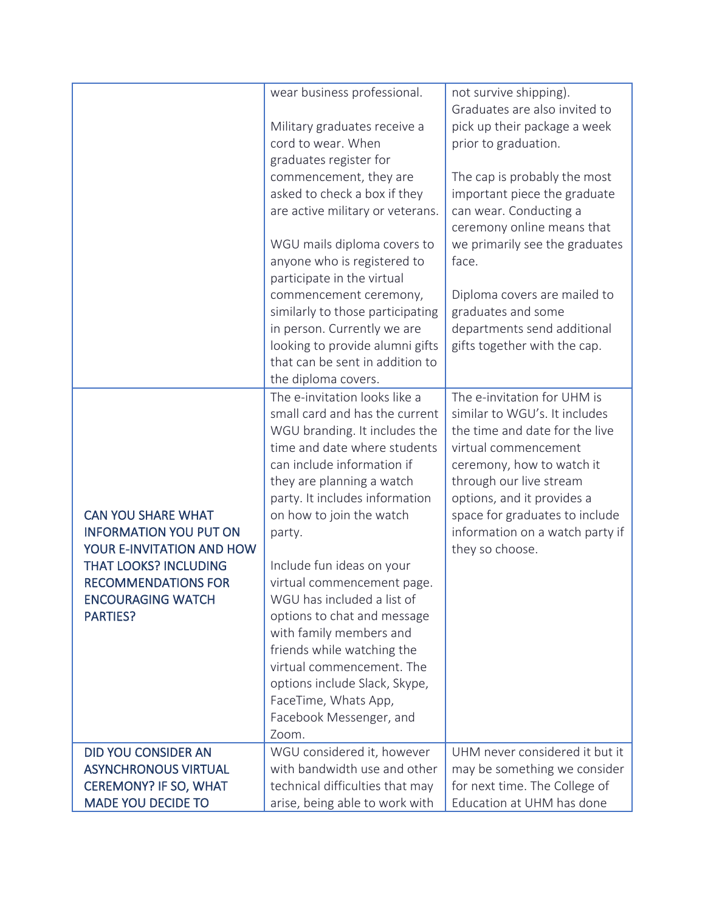|                               | wear business professional.      | not survive shipping).          |
|-------------------------------|----------------------------------|---------------------------------|
|                               |                                  | Graduates are also invited to   |
|                               |                                  |                                 |
|                               | Military graduates receive a     | pick up their package a week    |
|                               | cord to wear. When               | prior to graduation.            |
|                               | graduates register for           |                                 |
|                               | commencement, they are           | The cap is probably the most    |
|                               | asked to check a box if they     | important piece the graduate    |
|                               | are active military or veterans. | can wear. Conducting a          |
|                               |                                  | ceremony online means that      |
|                               | WGU mails diploma covers to      | we primarily see the graduates  |
|                               | anyone who is registered to      | face.                           |
|                               | participate in the virtual       |                                 |
|                               | commencement ceremony,           | Diploma covers are mailed to    |
|                               | similarly to those participating | graduates and some              |
|                               | in person. Currently we are      | departments send additional     |
|                               |                                  |                                 |
|                               | looking to provide alumni gifts  | gifts together with the cap.    |
|                               | that can be sent in addition to  |                                 |
|                               | the diploma covers.              |                                 |
|                               | The e-invitation looks like a    | The e-invitation for UHM is     |
|                               | small card and has the current   | similar to WGU's. It includes   |
|                               | WGU branding. It includes the    | the time and date for the live  |
|                               | time and date where students     | virtual commencement            |
|                               | can include information if       | ceremony, how to watch it       |
|                               | they are planning a watch        | through our live stream         |
|                               | party. It includes information   | options, and it provides a      |
| <b>CAN YOU SHARE WHAT</b>     | on how to join the watch         | space for graduates to include  |
| <b>INFORMATION YOU PUT ON</b> | party.                           | information on a watch party if |
| YOUR E-INVITATION AND HOW     |                                  | they so choose.                 |
| <b>THAT LOOKS? INCLUDING</b>  | Include fun ideas on your        |                                 |
| <b>RECOMMENDATIONS FOR</b>    | virtual commencement page.       |                                 |
| <b>ENCOURAGING WATCH</b>      | WGU has included a list of       |                                 |
| <b>PARTIES?</b>               | options to chat and message      |                                 |
|                               | with family members and          |                                 |
|                               | friends while watching the       |                                 |
|                               | virtual commencement. The        |                                 |
|                               |                                  |                                 |
|                               | options include Slack, Skype,    |                                 |
|                               | FaceTime, Whats App,             |                                 |
|                               | Facebook Messenger, and          |                                 |
|                               | Zoom.                            |                                 |
| <b>DID YOU CONSIDER AN</b>    | WGU considered it, however       | UHM never considered it but it  |
| <b>ASYNCHRONOUS VIRTUAL</b>   | with bandwidth use and other     | may be something we consider    |
| <b>CEREMONY? IF SO, WHAT</b>  | technical difficulties that may  | for next time. The College of   |
| <b>MADE YOU DECIDE TO</b>     | arise, being able to work with   | Education at UHM has done       |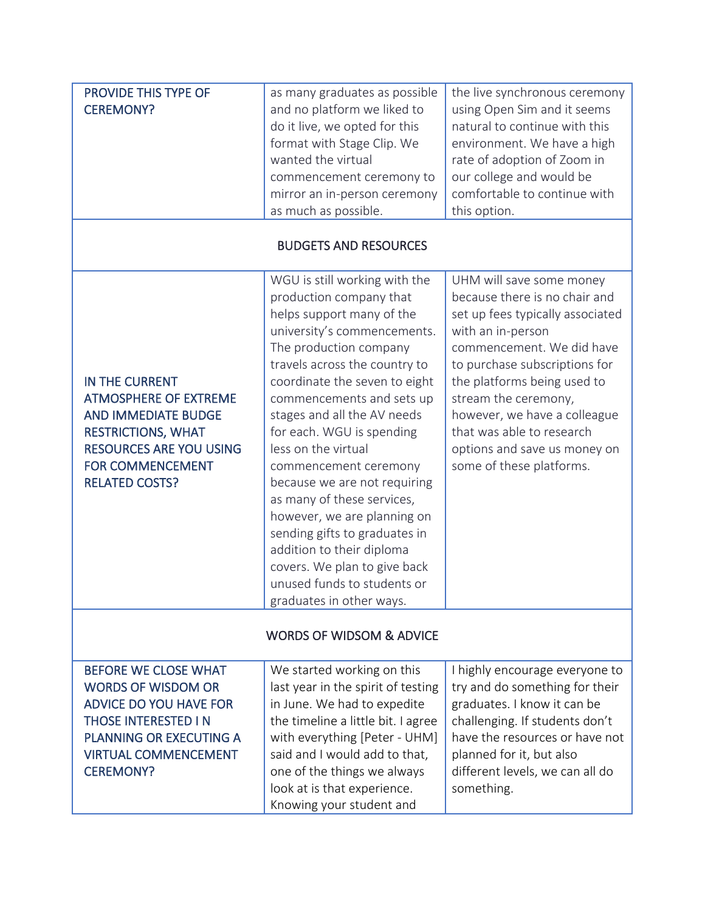| PROVIDE THIS TYPE OF                | as many graduates as possible      | the live synchronous ceremony    |  |
|-------------------------------------|------------------------------------|----------------------------------|--|
| <b>CEREMONY?</b>                    | and no platform we liked to        | using Open Sim and it seems      |  |
|                                     | do it live, we opted for this      | natural to continue with this    |  |
|                                     | format with Stage Clip. We         | environment. We have a high      |  |
|                                     | wanted the virtual                 | rate of adoption of Zoom in      |  |
|                                     | commencement ceremony to           | our college and would be         |  |
|                                     | mirror an in-person ceremony       | comfortable to continue with     |  |
|                                     | as much as possible.               | this option.                     |  |
|                                     | <b>BUDGETS AND RESOURCES</b>       |                                  |  |
|                                     | WGU is still working with the      | UHM will save some money         |  |
|                                     | production company that            | because there is no chair and    |  |
|                                     | helps support many of the          | set up fees typically associated |  |
|                                     | university's commencements.        | with an in-person                |  |
|                                     | The production company             | commencement. We did have        |  |
|                                     | travels across the country to      | to purchase subscriptions for    |  |
| IN THE CURRENT                      | coordinate the seven to eight      | the platforms being used to      |  |
| <b>ATMOSPHERE OF EXTREME</b>        | commencements and sets up          | stream the ceremony,             |  |
| <b>AND IMMEDIATE BUDGE</b>          | stages and all the AV needs        | however, we have a colleague     |  |
| <b>RESTRICTIONS, WHAT</b>           | for each. WGU is spending          | that was able to research        |  |
| <b>RESOURCES ARE YOU USING</b>      | less on the virtual                | options and save us money on     |  |
| <b>FOR COMMENCEMENT</b>             | commencement ceremony              | some of these platforms.         |  |
| <b>RELATED COSTS?</b>               | because we are not requiring       |                                  |  |
|                                     | as many of these services,         |                                  |  |
|                                     | however, we are planning on        |                                  |  |
|                                     | sending gifts to graduates in      |                                  |  |
|                                     | addition to their diploma          |                                  |  |
|                                     | covers. We plan to give back       |                                  |  |
|                                     | unused funds to students or        |                                  |  |
|                                     | graduates in other ways.           |                                  |  |
| <b>WORDS OF WIDSOM &amp; ADVICE</b> |                                    |                                  |  |
| <b>BEFORE WE CLOSE WHAT</b>         | We started working on this         | I highly encourage everyone to   |  |
| <b>WORDS OF WISDOM OR</b>           | last year in the spirit of testing | try and do something for their   |  |
| ADVICE DO YOU HAVE FOR              | in June. We had to expedite        | graduates. I know it can be      |  |
| <b>THOSE INTERESTED IN</b>          | the timeline a little bit. I agree | challenging. If students don't   |  |
| <b>PLANNING OR EXECUTING A</b>      | with everything [Peter - UHM]      | have the resources or have not   |  |
| <b>VIRTUAL COMMENCEMENT</b>         | said and I would add to that,      | planned for it, but also         |  |
| <b>CEREMONY?</b>                    | one of the things we always        | different levels, we can all do  |  |
|                                     | look at is that experience.        | something.                       |  |
|                                     | Knowing your student and           |                                  |  |
|                                     |                                    |                                  |  |